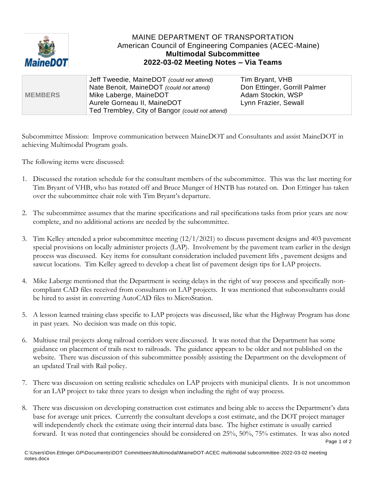

## MAINE DEPARTMENT OF TRANSPORTATION American Council of Engineering Companies (ACEC-Maine) **Multimodal Subcommittee 2022-03-02 Meeting Notes – Via Teams**

|                | Jeff Tweedie, MaineDOT (could not attend)       | Tim Bryant, VHB              |
|----------------|-------------------------------------------------|------------------------------|
|                | Nate Benoit, MaineDOT (could not attend)        | Don Ettinger, Gorrill Palmer |
| <b>MEMBERS</b> | Mike Laberge, MaineDOT                          | Adam Stockin, WSP            |
|                | Aurele Gorneau II, MaineDOT                     | Lynn Frazier, Sewall         |
|                | Ted Trembley, City of Bangor (could not attend) |                              |

Subcommittee Mission: Improve communication between MaineDOT and Consultants and assist MaineDOT in achieving Multimodal Program goals.

The following items were discussed:

- 1. Discussed the rotation schedule for the consultant members of the subcommittee. This was the last meeting for Tim Bryant of VHB, who has rotated off and Bruce Munger of HNTB has rotated on. Don Ettinger has taken over the subcommittee chair role with Tim Bryant's departure.
- 2. The subcommittee assumes that the marine specifications and rail specifications tasks from prior years are now complete, and no additional actions are needed by the subcommittee.
- 3. Tim Kelley attended a prior subcommittee meeting (12/1/2021) to discuss pavement designs and 403 pavement special provisions on locally administer projects (LAP). Involvement by the pavement team earlier in the design process was discussed. Key items for consultant consideration included pavement lifts , pavement designs and sawcut locations. Tim Kelley agreed to develop a cheat list of pavement design tips for LAP projects.
- 4. Mike Laberge mentioned that the Department is seeing delays in the right of way process and specifically noncompliant CAD files received from consultants on LAP projects. It was mentioned that subconsultants could be hired to assist in converting AutoCAD files to MicroStation.
- 5. A lesson learned training class specific to LAP projects was discussed, like what the Highway Program has done in past years. No decision was made on this topic.
- 6. Multiuse trail projects along railroad corridors were discussed. It was noted that the Department has some guidance on placement of trails next to railroads. The guidance appears to be older and not published on the website. There was discussion of this subcommittee possibly assisting the Department on the development of an updated Trail with Rail policy.
- 7. There was discussion on setting realistic schedules on LAP projects with municipal clients. It is not uncommon for an LAP project to take three years to design when including the right of way process.
- 8. There was discussion on developing construction cost estimates and being able to access the Department's data base for average unit prices. Currently the consultant develops a cost estimate, and the DOT project manager will independently check the estimate using their internal data base. The higher estimate is usually carried forward. It was noted that contingencies should be considered on 25%, 50%, 75% estimates. It was also noted